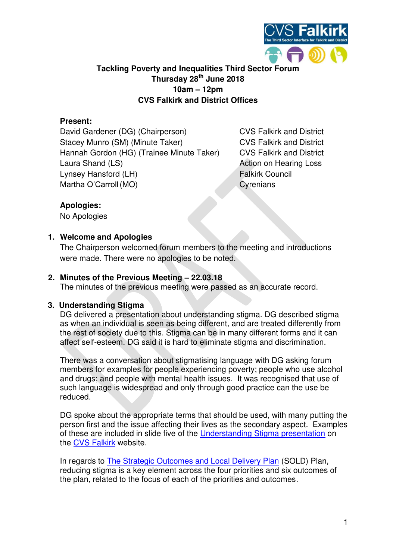

# **Tackling Poverty and Inequalities Third Sector Forum Thursday 28th June 2018 10am – 12pm CVS Falkirk and District Offices**

### **Present:**

David Gardener (DG) (Chairperson) CVS Falkirk and District Stacey Munro (SM) (Minute Taker) CVS Falkirk and District Hannah Gordon (HG) (Trainee Minute Taker) CVS Falkirk and District Laura Shand (LS) and the state of the Action on Hearing Loss Lynsey Hansford (LH) Falkirk Council Martha O'Carroll (MO) Cyrenians

### **Apologies:**

No Apologies

### **1. Welcome and Apologies**

The Chairperson welcomed forum members to the meeting and introductions were made. There were no apologies to be noted.

## **2. Minutes of the Previous Meeting – 22.03.18**

The minutes of the previous meeting were passed as an accurate record.

### **3. Understanding Stigma**

DG delivered a presentation about understanding stigma. DG described stigma as when an individual is seen as being different, and are treated differently from the rest of society due to this. Stigma can be in many different forms and it can affect self-esteem. DG said it is hard to eliminate stigma and discrimination.

There was a conversation about stigmatising language with DG asking forum members for examples for people experiencing poverty; people who use alcohol and drugs; and people with mental health issues. It was recognised that use of such language is widespread and only through good practice can the use be reduced.

DG spoke about the appropriate terms that should be used, with many putting the person first and the issue affecting their lives as the secondary aspect. Examples of these are included in slide five of the [Understanding Stigma presentation](https://www.cvsfalkirk.org.uk/wp-content/uploads/2018/07/Understanding-Stigma-28.06.18.pdf) on the [CVS Falkirk](https://www.cvsfalkirk.org.uk/voice-of-the-sector/tackling-poverty-forum/) website.

In regards to [The Strategic Outcomes and Local Delivery Plan](https://www.falkirk.gov.uk/services/council-democracy/policies-strategies/docs/community-planning/03%20The%20Strategic%20Outcomes%20and%20Local%20Delivery%20Plan%202016%20-%202020.pdf?v=201707041339) (SOLD) Plan, reducing stigma is a key element across the four priorities and six outcomes of the plan, related to the focus of each of the priorities and outcomes.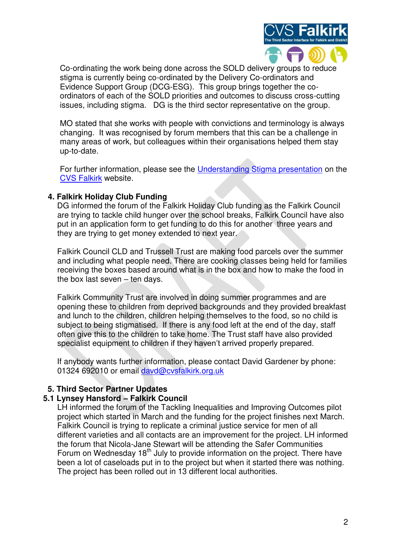

Co-ordinating the work being done across the SOLD delivery groups to reduce stigma is currently being co-ordinated by the Delivery Co-ordinators and Evidence Support Group (DCG-ESG). This group brings together the coordinators of each of the SOLD priorities and outcomes to discuss cross-cutting issues, including stigma. DG is the third sector representative on the group.

MO stated that she works with people with convictions and terminology is always changing. It was recognised by forum members that this can be a challenge in many areas of work, but colleagues within their organisations helped them stay up-to-date.

For further information, please see the [Understanding Stigma presentation](https://www.cvsfalkirk.org.uk/wp-content/uploads/2018/07/Understanding-Stigma-28.06.18.pdf) on the [CVS Falkirk](https://www.cvsfalkirk.org.uk/voice-of-the-sector/tackling-poverty-forum/) website.

### **4. Falkirk Holiday Club Funding**

DG informed the forum of the Falkirk Holiday Club funding as the Falkirk Council are trying to tackle child hunger over the school breaks, Falkirk Council have also put in an application form to get funding to do this for another three years and they are trying to get money extended to next year.

Falkirk Council CLD and Trussell Trust are making food parcels over the summer and including what people need. There are cooking classes being held for families receiving the boxes based around what is in the box and how to make the food in the box last seven – ten days.

Falkirk Community Trust are involved in doing summer programmes and are opening these to children from deprived backgrounds and they provided breakfast and lunch to the children, children helping themselves to the food, so no child is subject to being stigmatised. If there is any food left at the end of the day, staff often give this to the children to take home. The Trust staff have also provided specialist equipment to children if they haven't arrived properly prepared.

If anybody wants further information, please contact David Gardener by phone: 01324 692010 or email davd@cvsfalkirk.org.uk

# **5. Third Sector Partner Updates**

# **5.1 Lynsey Hansford – Falkirk Council**

LH informed the forum of the Tackling Inequalities and Improving Outcomes pilot project which started in March and the funding for the project finishes next March. Falkirk Council is trying to replicate a criminal justice service for men of all different varieties and all contacts are an improvement for the project. LH informed the forum that Nicola-Jane Stewart will be attending the Safer Communities Forum on Wednesday  $18<sup>th</sup>$  July to provide information on the project. There have been a lot of caseloads put in to the project but when it started there was nothing. The project has been rolled out in 13 different local authorities.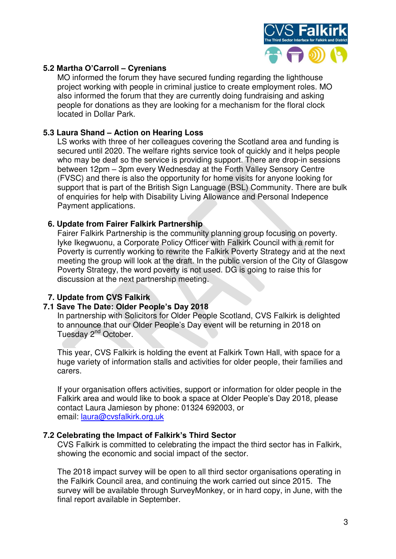

## **5.2 Martha O'Carroll – Cyrenians**

MO informed the forum they have secured funding regarding the lighthouse project working with people in criminal justice to create employment roles. MO also informed the forum that they are currently doing fundraising and asking people for donations as they are looking for a mechanism for the floral clock located in Dollar Park.

### **5.3 Laura Shand – Action on Hearing Loss**

LS works with three of her colleagues covering the Scotland area and funding is secured until 2020. The welfare rights service took of quickly and it helps people who may be deaf so the service is providing support. There are drop-in sessions between 12pm – 3pm every Wednesday at the Forth Valley Sensory Centre (FVSC) and there is also the opportunity for home visits for anyone looking for support that is part of the British Sign Language (BSL) Community. There are bulk of enquiries for help with Disability Living Allowance and Personal Indepence Payment applications.

### **6. Update from Fairer Falkirk Partnership**

Fairer Falkirk Partnership is the community planning group focusing on poverty. Iyke Ikegwuonu, a Corporate Policy Officer with Falkirk Council with a remit for Poverty is currently working to rewrite the Falkirk Poverty Strategy and at the next meeting the group will look at the draft. In the public version of the City of Glasgow Poverty Strategy, the word poverty is not used. DG is going to raise this for discussion at the next partnership meeting.

# **7. Update from CVS Falkirk**

### **7.1 Save The Date: Older People's Day 2018**

In partnership with Solicitors for Older People Scotland, CVS Falkirk is delighted to announce that our Older People's Day event will be returning in 2018 on Tuesday 2<sup>nd</sup> October.

This year, CVS Falkirk is holding the event at Falkirk Town Hall, with space for a huge variety of information stalls and activities for older people, their families and carers.

If your organisation offers activities, support or information for older people in the Falkirk area and would like to book a space at Older People's Day 2018, please contact Laura Jamieson by phone: 01324 692003, or email: [laura@cvsfalkirk.org.uk](mailto:laura@cvsfalkirk.org.uk) 

### **7.2 Celebrating the Impact of Falkirk's Third Sector**

CVS Falkirk is committed to celebrating the impact the third sector has in Falkirk, showing the economic and social impact of the sector.

The 2018 impact survey will be open to all third sector organisations operating in the Falkirk Council area, and continuing the work carried out since 2015. The survey will be available through SurveyMonkey, or in hard copy, in June, with the final report available in September.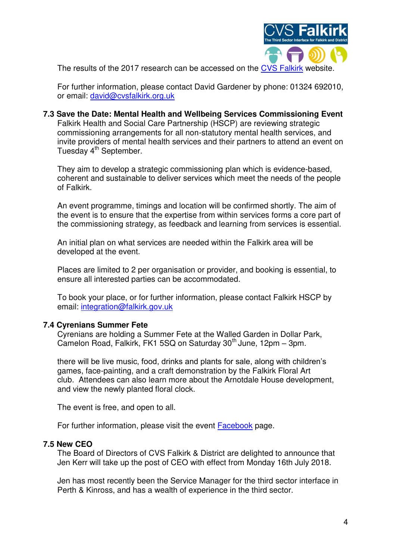

The results of the 2017 research can be accessed on the [CVS Falkirk](http://www.cvsfalkirk.org.uk/wp-content/uploads/2015/08/Third-Sector-Impact-Report-2017.pdf) website.

For further information, please contact David Gardener by phone: 01324 692010, or email: [david@cvsfalkirk.org.uk](mailto:david@cvsfalkirk.org.uk)

# **7.3 Save the Date: Mental Health and Wellbeing Services Commissioning Event**

Falkirk Health and Social Care Partnership (HSCP) are reviewing strategic commissioning arrangements for all non-statutory mental health services, and invite providers of mental health services and their partners to attend an event on Tuesday 4<sup>th</sup> September.

They aim to develop a strategic commissioning plan which is evidence-based, coherent and sustainable to deliver services which meet the needs of the people of Falkirk.

An event programme, timings and location will be confirmed shortly. The aim of the event is to ensure that the expertise from within services forms a core part of the commissioning strategy, as feedback and learning from services is essential.

An initial plan on what services are needed within the Falkirk area will be developed at the event.

Places are limited to 2 per organisation or provider, and booking is essential, to ensure all interested parties can be accommodated.

To book your place, or for further information, please contact Falkirk HSCP by email: [integration@falkirk.gov.uk](mailto:integration@falkirk.gov.uk)

### **7.4 Cyrenians Summer Fete**

Cyrenians are holding a Summer Fete at the Walled Garden in Dollar Park, Camelon Road, Falkirk, FK1 5SQ on Saturday 30<sup>th</sup> June, 12pm - 3pm.

there will be live music, food, drinks and plants for sale, along with children's games, face-painting, and a craft demonstration by the Falkirk Floral Art club. Attendees can also learn more about the Arnotdale House development, and view the newly planted floral clock.

The event is free, and open to all.

For further information, please visit the event [Facebook](https://urldefense.proofpoint.com/v2/url?u=https-3A__cvsfalkirk.us3.list-2Dmanage.com_track_click-3Fu-3D3e84ad020ba95c3b6ea2becc1-26id-3D8839e38bf1-26e-3D6bf1774962&d=DwMFaQ&c=euGZstcaTDllvimEN8b7jXrwqOf-v5A_CdpgnVfiiMM&r=TgFyRo-1DWhyKNl-xGJH5hBR_p2xIQumvEM0osJ45TI&m=qMax-UrpriN4PCsrhyEUljHGIT90hMa3Tgl7YcdxElg&s=U--t6KZZuuLl4fx6pUVjLKIm0_I7YnIuw20UABn1Is4&e=) page.

### **7.5 New CEO**

The Board of Directors of CVS Falkirk & District are delighted to announce that Jen Kerr will take up the post of CEO with effect from Monday 16th July 2018.

Jen has most recently been the Service Manager for the third sector interface in Perth & Kinross, and has a wealth of experience in the third sector.